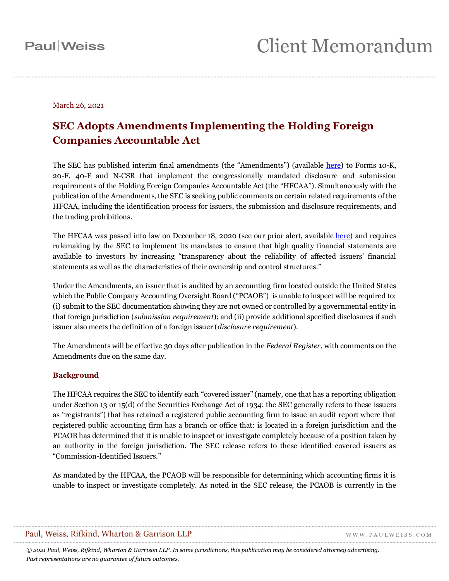March 26, 2021

### **SEC Adopts Amendments Implementing the Holding Foreign Companies Accountable Act**

The SEC has published interim final amendments (the "Amendments") (available [here\)](https://www.sec.gov/rules/interim/2021/34-91364.pdf) to Forms 10-K, 20-F, 40-F and N-CSR that implement the congressionally mandated disclosure and submission requirements of the Holding Foreign Companies Accountable Act (the "HFCAA"). Simultaneously with the publication of the Amendments, the SEC is seeking public comments on certain related requirements of the HFCAA, including the identification process for issuers, the submission and disclosure requirements, and the trading prohibitions.

The HFCAA was passed into law on December 18, 2020 (see our prior alert, available [here\)](https://www.paulweiss.com/media/3980658/us_congress_passes_holding_foreign_companies.pdf) and requires rulemaking by the SEC to implement its mandates to ensure that high quality financial statements are available to investors by increasing "transparency about the reliability of affected issuers' financial statements as well as the characteristics of their ownership and control structures."

Under the Amendments, an issuer that is audited by an accounting firm located outside the United States which the Public Company Accounting Oversight Board ("PCAOB") is unable to inspect will be required to: (i) submit to the SEC documentation showing they are not owned or controlled by a governmental entity in that foreign jurisdiction (*submission requirement*); and (ii) provide additional specified disclosures if such issuer also meets the definition of a foreign issuer (*disclosure requirement*).

The Amendments will be effective 30 days after publication in the *Federal Register*, with comments on the Amendments due on the same day*.*

### **Background**

The HFCAA requires the SEC to identify each "covered issuer" (namely, one that has a reporting obligation under Section 13 or 15(d) of the Securities Exchange Act of 1934; the SEC generally refers to these issuers as "registrants") that has retained a registered public accounting firm to issue an audit report where that registered public accounting firm has a branch or office that: is located in a foreign jurisdiction and the PCAOB has determined that it is unable to inspect or investigate completely because of a position taken by an authority in the foreign jurisdiction. The SEC release refers to these identified covered issuers as "Commission-Identified Issuers."

As mandated by the HFCAA, the PCAOB will be responsible for determining which accounting firms it is unable to inspect or investigate completely. As noted in the SEC release, the PCAOB is currently in the

#### Paul, Weiss, Rifkind, Wharton & Garrison LLP

WWW.PAULWEISS.COM

*© 2021 Paul, Weiss, Rifkind, Wharton & Garrison LLP. In some jurisdictions, this publication may be considered attorney advertising. Past representations are no guarantee of future outcomes.*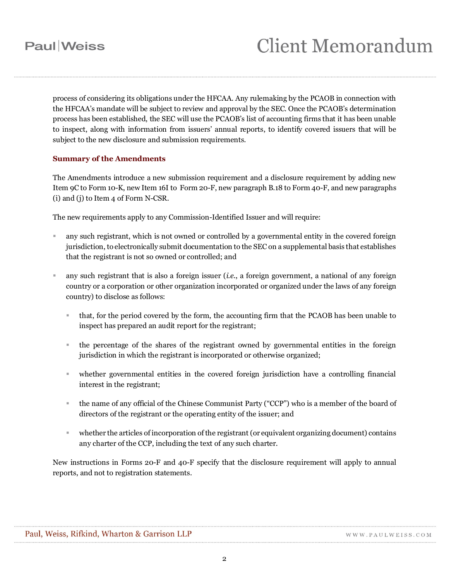process of considering its obligations under the HFCAA. Any rulemaking by the PCAOB in connection with the HFCAA's mandate will be subject to review and approval by the SEC. Once the PCAOB's determination process has been established, the SEC will use the PCAOB's list of accounting firms that it has been unable to inspect, along with information from issuers' annual reports, to identify covered issuers that will be subject to the new disclosure and submission requirements.

### **Summary of the Amendments**

The Amendments introduce a new submission requirement and a disclosure requirement by adding new Item 9C to Form 10-K, new Item 16I to Form 20-F, new paragraph B.18 to Form 40-F, and new paragraphs (i) and (j) to Item 4 of Form N-CSR.

The new requirements apply to any Commission-Identified Issuer and will require:

- any such registrant, which is not owned or controlled by a governmental entity in the covered foreign jurisdiction, to electronically submit documentation to the SEC on a supplemental basis that establishes that the registrant is not so owned or controlled; and
- any such registrant that is also a foreign issuer (*i.e.*, a foreign government, a national of any foreign country or a corporation or other organization incorporated or organized under the laws of any foreign country) to disclose as follows:
	- that, for the period covered by the form, the accounting firm that the PCAOB has been unable to inspect has prepared an audit report for the registrant;
	- the percentage of the shares of the registrant owned by governmental entities in the foreign jurisdiction in which the registrant is incorporated or otherwise organized;
	- whether governmental entities in the covered foreign jurisdiction have a controlling financial interest in the registrant;
	- the name of any official of the Chinese Communist Party ("CCP") who is a member of the board of directors of the registrant or the operating entity of the issuer; and
	- whether the articles of incorporation of the registrant (or equivalent organizing document) contains any charter of the CCP, including the text of any such charter.

New instructions in Forms 20-F and 40-F specify that the disclosure requirement will apply to annual reports, and not to registration statements.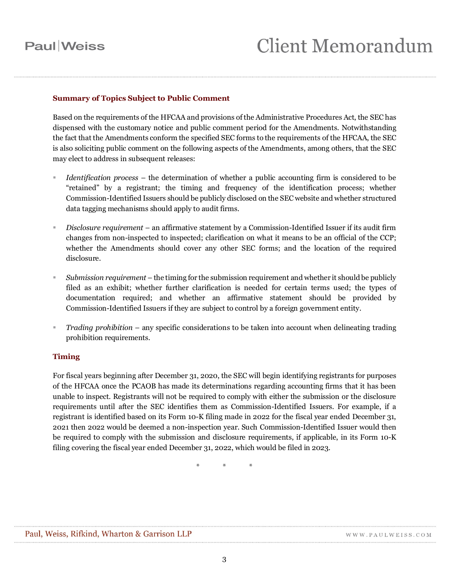## **Paul** Weiss

### **Summary of Topics Subject to Public Comment**

Based on the requirements of the HFCAA and provisions of the Administrative Procedures Act, the SEC has dispensed with the customary notice and public comment period for the Amendments. Notwithstanding the fact that the Amendments conform the specified SEC forms to the requirements of the HFCAA, the SEC is also soliciting public comment on the following aspects of the Amendments, among others, that the SEC may elect to address in subsequent releases:

- *Identification process* the determination of whether a public accounting firm is considered to be "retained" by a registrant; the timing and frequency of the identification process; whether Commission-Identified Issuers should be publicly disclosed on the SEC website and whether structured data tagging mechanisms should apply to audit firms.
- *Disclosure requirement* an affirmative statement by a Commission-Identified Issuer if its audit firm changes from non-inspected to inspected; clarification on what it means to be an official of the CCP; whether the Amendments should cover any other SEC forms; and the location of the required disclosure.
- *Submission requirement* the timing for the submission requirement and whether it should be publicly filed as an exhibit; whether further clarification is needed for certain terms used; the types of documentation required; and whether an affirmative statement should be provided by Commission-Identified Issuers if they are subject to control by a foreign government entity.
- *Trading prohibition* any specific considerations to be taken into account when delineating trading prohibition requirements.

#### **Timing**

For fiscal years beginning after December 31, 2020, the SEC will begin identifying registrants for purposes of the HFCAA once the PCAOB has made its determinations regarding accounting firms that it has been unable to inspect. Registrants will not be required to comply with either the submission or the disclosure requirements until after the SEC identifies them as Commission-Identified Issuers. For example, if a registrant is identified based on its Form 10-K filing made in 2022 for the fiscal year ended December 31, 2021 then 2022 would be deemed a non-inspection year. Such Commission-Identified Issuer would then be required to comply with the submission and disclosure requirements, if applicable, in its Form 10-K filing covering the fiscal year ended December 31, 2022, which would be filed in 2023.

\* \* \*